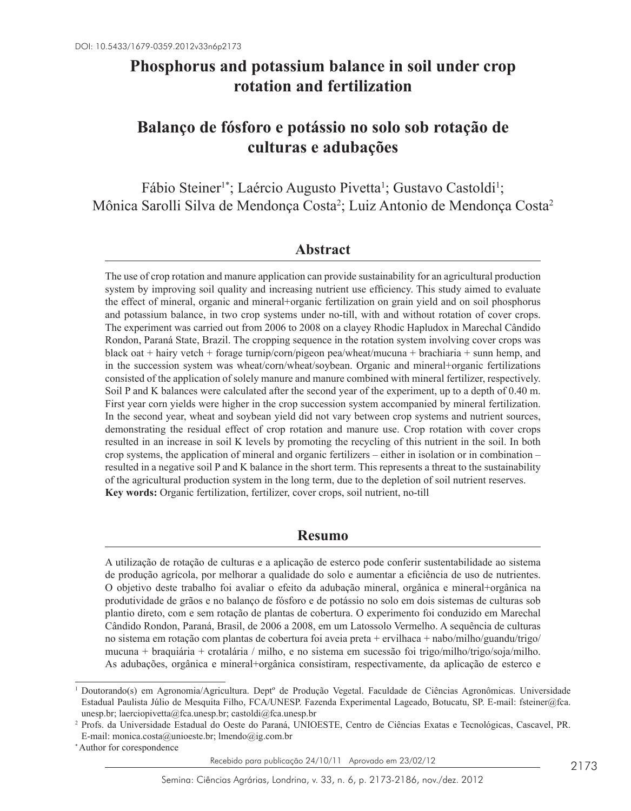# **Phosphorus and potassium balance in soil under crop rotation and fertilization**

# **Balanço de fósforo e potássio no solo sob rotação de culturas e adubações**

Fábio Steiner<sup>1\*</sup>; Laércio Augusto Pivetta<sup>1</sup>; Gustavo Castoldi<sup>1</sup>; Mônica Sarolli Silva de Mendonça Costa<sup>2</sup>; Luiz Antonio de Mendonça Costa<sup>2</sup>

# **Abstract**

The use of crop rotation and manure application can provide sustainability for an agricultural production system by improving soil quality and increasing nutrient use efficiency. This study aimed to evaluate the effect of mineral, organic and mineral+organic fertilization on grain yield and on soil phosphorus and potassium balance, in two crop systems under no-till, with and without rotation of cover crops. The experiment was carried out from 2006 to 2008 on a clayey Rhodic Hapludox in Marechal Cândido Rondon, Paraná State, Brazil. The cropping sequence in the rotation system involving cover crops was black oat + hairy vetch + forage turnip/corn/pigeon pea/wheat/mucuna + brachiaria + sunn hemp, and in the succession system was wheat/corn/wheat/soybean. Organic and mineral+organic fertilizations consisted of the application of solely manure and manure combined with mineral fertilizer, respectively. Soil P and K balances were calculated after the second year of the experiment, up to a depth of 0.40 m. First year corn yields were higher in the crop succession system accompanied by mineral fertilization. In the second year, wheat and soybean yield did not vary between crop systems and nutrient sources, demonstrating the residual effect of crop rotation and manure use. Crop rotation with cover crops resulted in an increase in soil K levels by promoting the recycling of this nutrient in the soil. In both crop systems, the application of mineral and organic fertilizers – either in isolation or in combination – resulted in a negative soil P and K balance in the short term. This represents a threat to the sustainability of the agricultural production system in the long term, due to the depletion of soil nutrient reserves. **Key words:** Organic fertilization, fertilizer, cover crops, soil nutrient, no-till

# **Resumo**

A utilização de rotação de culturas e a aplicação de esterco pode conferir sustentabilidade ao sistema de produção agrícola, por melhorar a qualidade do solo e aumentar a eficiência de uso de nutrientes. O objetivo deste trabalho foi avaliar o efeito da adubação mineral, orgânica e mineral+orgânica na produtividade de grãos e no balanço de fósforo e de potássio no solo em dois sistemas de culturas sob plantio direto, com e sem rotação de plantas de cobertura. O experimento foi conduzido em Marechal Cândido Rondon, Paraná, Brasil, de 2006 a 2008, em um Latossolo Vermelho. A sequência de culturas no sistema em rotação com plantas de cobertura foi aveia preta + ervilhaca + nabo/milho/guandu/trigo/ mucuna + braquiária + crotalária / milho, e no sistema em sucessão foi trigo/milho/trigo/soja/milho. As adubações, orgânica e mineral+orgânica consistiram, respectivamente, da aplicação de esterco e

\* Author for corespondence

<sup>1</sup> Doutorando(s) em Agronomia/Agricultura. Deptº de Produção Vegetal. Faculdade de Ciências Agronômicas. Universidade Estadual Paulista Júlio de Mesquita Filho, FCA/UNESP. Fazenda Experimental Lageado, Botucatu, SP. E-mail: fsteiner@fca. unesp.br; laerciopivetta@fca.unesp.br; castoldi@fca.unesp.br

<sup>2</sup> Profs. da Universidade Estadual do Oeste do Paraná, UNIOESTE, Centro de Ciências Exatas e Tecnológicas, Cascavel, PR. E-mail: monica.costa@unioeste.br; lmendo@ig.com.br

Recebido para publicação 24/10/11 Aprovado em 23/02/12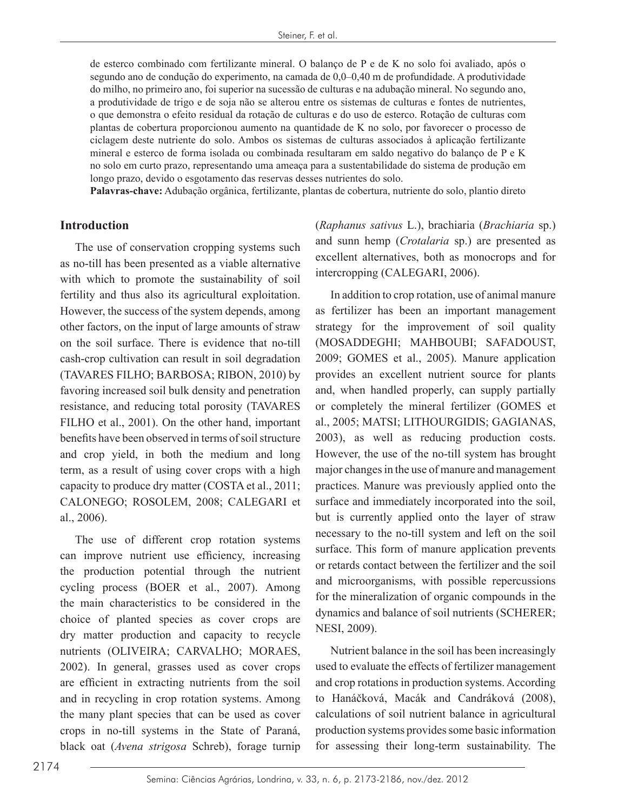de esterco combinado com fertilizante mineral. O balanço de P e de K no solo foi avaliado, após o segundo ano de condução do experimento, na camada de 0,0–0,40 m de profundidade. A produtividade do milho, no primeiro ano, foi superior na sucessão de culturas e na adubação mineral. No segundo ano, a produtividade de trigo e de soja não se alterou entre os sistemas de culturas e fontes de nutrientes, o que demonstra o efeito residual da rotação de culturas e do uso de esterco. Rotação de culturas com plantas de cobertura proporcionou aumento na quantidade de K no solo, por favorecer o processo de ciclagem deste nutriente do solo. Ambos os sistemas de culturas associados à aplicação fertilizante mineral e esterco de forma isolada ou combinada resultaram em saldo negativo do balanço de P e K no solo em curto prazo, representando uma ameaça para a sustentabilidade do sistema de produção em longo prazo, devido o esgotamento das reservas desses nutrientes do solo.

**Palavras-chave:** Adubação orgânica, fertilizante, plantas de cobertura, nutriente do solo, plantio direto

#### **Introduction**

The use of conservation cropping systems such as no-till has been presented as a viable alternative with which to promote the sustainability of soil fertility and thus also its agricultural exploitation. However, the success of the system depends, among other factors, on the input of large amounts of straw on the soil surface. There is evidence that no-till cash-crop cultivation can result in soil degradation (TAVARES FILHO; BARBOSA; RIBON, 2010) by favoring increased soil bulk density and penetration resistance, and reducing total porosity (TAVARES FILHO et al., 2001). On the other hand, important benefits have been observed in terms of soil structure and crop yield, in both the medium and long term, as a result of using cover crops with a high capacity to produce dry matter (COSTA et al., 2011; CALONEGO; ROSOLEM, 2008; CALEGARI et al., 2006).

The use of different crop rotation systems can improve nutrient use efficiency, increasing the production potential through the nutrient cycling process (BOER et al., 2007). Among the main characteristics to be considered in the choice of planted species as cover crops are dry matter production and capacity to recycle nutrients (OLIVEIRA; CARVALHO; MORAES, 2002). In general, grasses used as cover crops are efficient in extracting nutrients from the soil and in recycling in crop rotation systems. Among the many plant species that can be used as cover crops in no-till systems in the State of Paraná, black oat (*Avena strigosa* Schreb), forage turnip

(*Raphanus sativus* L.), brachiaria (*Brachiaria* sp.) and sunn hemp (*Crotalaria* sp.) are presented as excellent alternatives, both as monocrops and for intercropping (CALEGARI, 2006).

In addition to crop rotation, use of animal manure as fertilizer has been an important management strategy for the improvement of soil quality (MOSADDEGHI; MAHBOUBI; SAFADOUST, 2009; GOMES et al., 2005). Manure application provides an excellent nutrient source for plants and, when handled properly, can supply partially or completely the mineral fertilizer (GOMES et al., 2005; MATSI; LITHOURGIDIS; GAGIANAS, 2003), as well as reducing production costs. However, the use of the no-till system has brought major changes in the use of manure and management practices. Manure was previously applied onto the surface and immediately incorporated into the soil, but is currently applied onto the layer of straw necessary to the no-till system and left on the soil surface. This form of manure application prevents or retards contact between the fertilizer and the soil and microorganisms, with possible repercussions for the mineralization of organic compounds in the dynamics and balance of soil nutrients (SCHERER; NESI, 2009).

Nutrient balance in the soil has been increasingly used to evaluate the effects of fertilizer management and crop rotations in production systems. According to Hanáčková, Macák and Candráková (2008), calculations of soil nutrient balance in agricultural production systems provides some basic information for assessing their long-term sustainability. The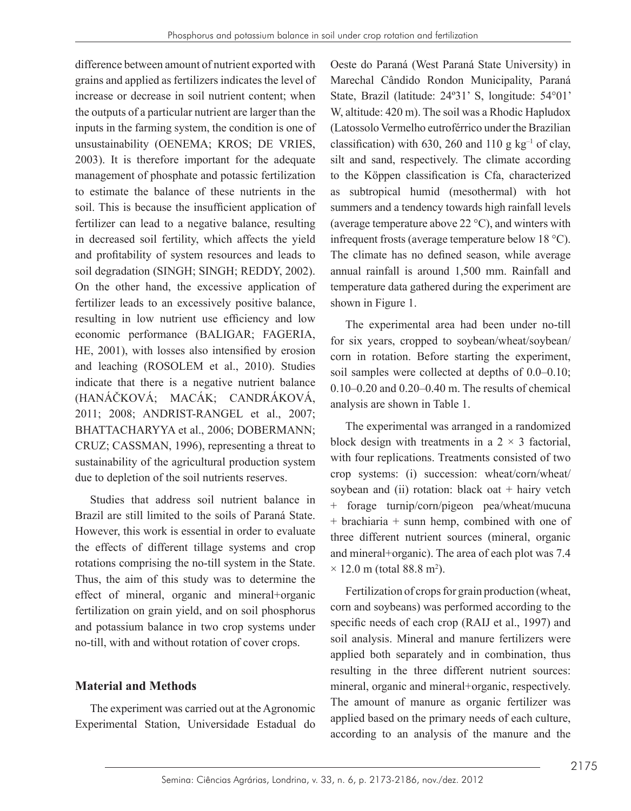difference between amount of nutrient exported with grains and applied as fertilizers indicates the level of increase or decrease in soil nutrient content; when the outputs of a particular nutrient are larger than the inputs in the farming system, the condition is one of unsustainability (OENEMA; KROS; DE VRIES, 2003). It is therefore important for the adequate management of phosphate and potassic fertilization to estimate the balance of these nutrients in the soil. This is because the insufficient application of fertilizer can lead to a negative balance, resulting in decreased soil fertility, which affects the yield and profitability of system resources and leads to soil degradation (SINGH; SINGH; REDDY, 2002). On the other hand, the excessive application of fertilizer leads to an excessively positive balance, resulting in low nutrient use efficiency and low economic performance (BALIGAR; FAGERIA, HE, 2001), with losses also intensified by erosion and leaching (ROSOLEM et al., 2010). Studies indicate that there is a negative nutrient balance (HANÁČKOVÁ; MACÁK; CANDRÁKOVÁ, 2011; 2008; ANDRIST-RANGEL et al., 2007; BHATTACHARYYA et al., 2006; DOBERMANN; CRUZ; CASSMAN, 1996), representing a threat to sustainability of the agricultural production system due to depletion of the soil nutrients reserves.

Studies that address soil nutrient balance in Brazil are still limited to the soils of Paraná State. However, this work is essential in order to evaluate the effects of different tillage systems and crop rotations comprising the no-till system in the State. Thus, the aim of this study was to determine the effect of mineral, organic and mineral+organic fertilization on grain yield, and on soil phosphorus and potassium balance in two crop systems under no-till, with and without rotation of cover crops.

# **Material and Methods**

The experiment was carried out at the Agronomic Experimental Station, Universidade Estadual do Oeste do Paraná (West Paraná State University) in Marechal Cândido Rondon Municipality, Paraná State, Brazil (latitude: 24º31' S, longitude: 54°01' W, altitude: 420 m). The soil was a Rhodic Hapludox (Latossolo Vermelho eutroférrico under the Brazilian classification) with 630, 260 and 110 g kg<sup>-1</sup> of clay, silt and sand, respectively. The climate according to the Köppen classification is Cfa, characterized as subtropical humid (mesothermal) with hot summers and a tendency towards high rainfall levels (average temperature above 22 °C), and winters with infrequent frosts (average temperature below 18 °C). The climate has no defined season, while average annual rainfall is around 1,500 mm. Rainfall and temperature data gathered during the experiment are shown in Figure 1.

The experimental area had been under no-till for six years, cropped to soybean/wheat/soybean/ corn in rotation. Before starting the experiment, soil samples were collected at depths of 0.0–0.10; 0.10–0.20 and 0.20–0.40 m. The results of chemical analysis are shown in Table 1.

The experimental was arranged in a randomized block design with treatments in a  $2 \times 3$  factorial, with four replications. Treatments consisted of two crop systems: (i) succession: wheat/corn/wheat/ soybean and (ii) rotation: black oat  $+$  hairy vetch + forage turnip/corn/pigeon pea/wheat/mucuna + brachiaria + sunn hemp, combined with one of three different nutrient sources (mineral, organic and mineral+organic). The area of each plot was 7.4  $\times$  12.0 m (total 88.8 m<sup>2</sup>).

Fertilization of crops for grain production (wheat, corn and soybeans) was performed according to the specific needs of each crop (RAIJ et al., 1997) and soil analysis. Mineral and manure fertilizers were applied both separately and in combination, thus resulting in the three different nutrient sources: mineral, organic and mineral+organic, respectively. The amount of manure as organic fertilizer was applied based on the primary needs of each culture, according to an analysis of the manure and the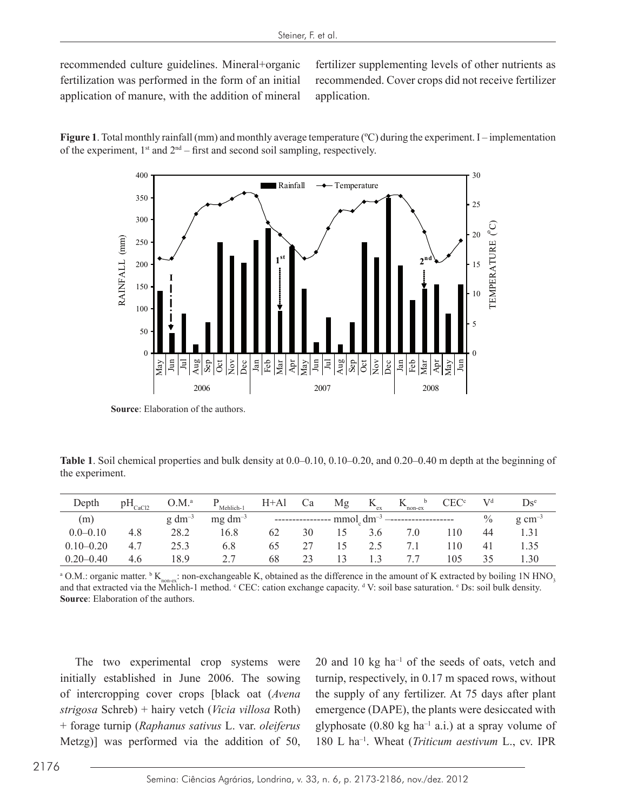recommended culture guidelines. Mineral+organic fertilization was performed in the form of an initial application of manure, with the addition of mineral

fertilizer supplementing levels of other nutrients as recommended. Cover crops did not receive fertilizer application.





**Source**: Elaboration of the authors.

| Table 1. Soil chemical properties and bulk density at 0.0–0.10, 0.10–0.20, and 0.20–0.40 m depth at the beginning of |  |
|----------------------------------------------------------------------------------------------------------------------|--|
| the experiment.                                                                                                      |  |

| Depth         | $pH_{CaCl2}$ | $O.M.^a$       | Mehlich-1       | H+Al | Ca | Mg | $K_{\rm ex}$ | $K_{\text{non-ex}}$ | CEC <sup>c</sup> | ${\rm V}^{\rm d}$ | Ds <sup>e</sup>     |
|---------------|--------------|----------------|-----------------|------|----|----|--------------|---------------------|------------------|-------------------|---------------------|
| (m)           |              | $g \, dm^{-3}$ | $mg \, dm^{-3}$ |      |    |    | $mmols dm-3$ | ' ————————————————  |                  | $\%$              | $g \text{ cm}^{-3}$ |
| $0.0 - 0.10$  | 4.8          | 28.2           | 6.8             | 62   | 30 | 15 | 3.6          | 7.0                 | 110              | 44                | .31                 |
| $0.10 - 0.20$ | 4.7          | 25.3           | 6.8             | 65   |    |    | 2.5          |                     | 110              | 41                | .35                 |
| $0.20 - 0.40$ | 4.6          | 18.9           | 77              | 68   | 23 |    |              |                     | 105              | 35                | .30                 |

<sup>a</sup> O.M.: organic matter.  ${}^{\text{b}}$  K<sub>non-ex</sub>: non-exchangeable K, obtained as the difference in the amount of K extracted by boiling 1N HNO<sub>3</sub> and that extracted via the Mehlich-1 method. CEC: cation exchange capacity. dV: soil base saturation. CDs: soil bulk density. **Source**: Elaboration of the authors.

The two experimental crop systems were initially established in June 2006. The sowing of intercropping cover crops [black oat (*Avena strigosa* Schreb) + hairy vetch (*Vicia villosa* Roth) + forage turnip (*Raphanus sativus* L. var. *oleiferus* Metzg)] was performed via the addition of 50, 20 and 10  $kg$  ha<sup>-1</sup> of the seeds of oats, vetch and turnip, respectively, in 0.17 m spaced rows, without the supply of any fertilizer. At 75 days after plant emergence (DAPE), the plants were desiccated with glyphosate  $(0.80 \text{ kg ha}^{-1} \text{ a.i.})$  at a spray volume of 180 L ha–1. Wheat (*Triticum aestivum* L., cv. IPR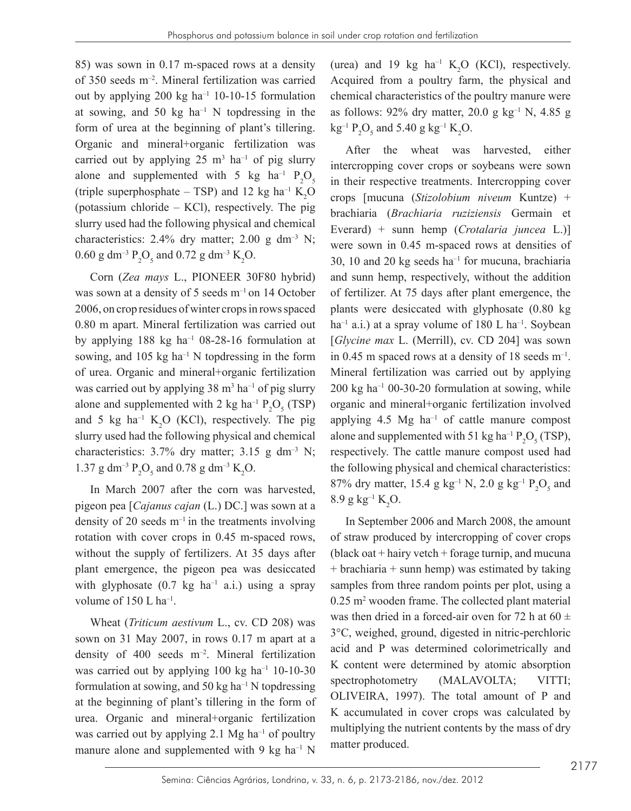85) was sown in 0.17 m-spaced rows at a density of 350 seeds m–2. Mineral fertilization was carried out by applying 200 kg ha<sup>-1</sup> 10-10-15 formulation at sowing, and 50 kg  $ha^{-1}$  N topdressing in the form of urea at the beginning of plant's tillering. Organic and mineral+organic fertilization was carried out by applying  $25 \text{ m}^3$  ha<sup>-1</sup> of pig slurry alone and supplemented with 5 kg  $ha^{-1} P_2O_5$ (triple superphosphate – TSP) and 12 kg  $ha^{-1} K_2O$ (potassium chloride – KCl), respectively. The pig slurry used had the following physical and chemical characteristics:  $2.4\%$  dry matter;  $2.00 \text{ g dm}^{-3}$  N; 0.60 g dm<sup>-3</sup>  $P_2O_5$  and 0.72 g dm<sup>-3</sup> K<sub>2</sub>O.

Corn (*Zea mays* L., PIONEER 30F80 hybrid) was sown at a density of 5 seeds m<sup>-1</sup> on 14 October 2006, on crop residues of winter crops in rows spaced 0.80 m apart. Mineral fertilization was carried out by applying 188 kg ha–1 08-28-16 formulation at sowing, and  $105 \text{ kg}$  ha<sup>-1</sup> N topdressing in the form of urea. Organic and mineral+organic fertilization was carried out by applying  $38 \text{ m}^3$  ha<sup>-1</sup> of pig slurry alone and supplemented with 2 kg ha<sup>-1</sup>  $P_2O_5$  (TSP) and 5 kg  $ha^{-1} K_2O$  (KCl), respectively. The pig slurry used had the following physical and chemical characteristics:  $3.7\%$  dry matter;  $3.15$  g dm<sup>-3</sup> N; 1.37 g dm<sup>-3</sup>  $P_2O_5$  and 0.78 g dm<sup>-3</sup> K<sub>2</sub>O.

In March 2007 after the corn was harvested, pigeon pea [*Cajanus cajan* (L.) DC.] was sown at a density of 20 seeds  $m^{-1}$  in the treatments involving rotation with cover crops in 0.45 m-spaced rows, without the supply of fertilizers. At 35 days after plant emergence, the pigeon pea was desiccated with glyphosate  $(0.7 \text{ kg ha}^{-1} \text{ a.i.})$  using a spray volume of  $150$  L ha<sup>-1</sup>.

Wheat (*Triticum aestivum* L., cv. CD 208) was sown on 31 May 2007, in rows 0.17 m apart at a density of 400 seeds m–2. Mineral fertilization was carried out by applying  $100 \text{ kg}$  ha<sup>-1</sup> 10-10-30 formulation at sowing, and 50 kg ha<sup>-1</sup> N topdressing at the beginning of plant's tillering in the form of urea. Organic and mineral+organic fertilization was carried out by applying 2.1 Mg ha<sup>-1</sup> of poultry manure alone and supplemented with 9 kg ha<sup>-1</sup> N

(urea) and 19 kg ha<sup>-1</sup> K<sub>2</sub>O (KCl), respectively. Acquired from a poultry farm, the physical and chemical characteristics of the poultry manure were as follows:  $92\%$  dry matter,  $20.0$  g kg<sup>-1</sup> N, 4.85 g  $\text{kg}^{-1} \text{ P}_2 \text{O}_5$  and 5.40 g kg<sup>-1</sup> K<sub>2</sub>O.

After the wheat was harvested, either intercropping cover crops or soybeans were sown in their respective treatments. Intercropping cover crops [mucuna (*Stizolobium niveum* Kuntze) + brachiaria (*Brachiaria ruziziensis* Germain et Everard) + sunn hemp (*Crotalaria juncea* L.)] were sown in 0.45 m-spaced rows at densities of 30, 10 and 20 kg seeds  $ha^{-1}$  for mucuna, brachiaria and sunn hemp, respectively, without the addition of fertilizer. At 75 days after plant emergence, the plants were desiccated with glyphosate (0.80 kg ha<sup>-1</sup> a.i.) at a spray volume of  $180$  L ha<sup>-1</sup>. Soybean [*Glycine max* L. (Merrill), cv. CD 204] was sown in 0.45 m spaced rows at a density of 18 seeds m–1. Mineral fertilization was carried out by applying  $200 \text{ kg}$  ha<sup>-1</sup> 00-30-20 formulation at sowing, while organic and mineral+organic fertilization involved applying  $4.5 \text{ Mg} \text{ ha}^{-1}$  of cattle manure compost alone and supplemented with 51 kg ha<sup>-1</sup>  $P_2O_5(TSP)$ , respectively. The cattle manure compost used had the following physical and chemical characteristics: 87% dry matter, 15.4 g  $kg^{-1}$  N, 2.0 g  $kg^{-1}$  P<sub>2</sub>O<sub>5</sub> and  $8.9$  g kg<sup>-1</sup> K<sub>2</sub>O.

In September 2006 and March 2008, the amount of straw produced by intercropping of cover crops  $(black out + hairv vetch + forage turnip, and mucuna)$ + brachiaria + sunn hemp) was estimated by taking samples from three random points per plot, using a 0.25 m<sup>2</sup> wooden frame. The collected plant material was then dried in a forced-air oven for 72 h at  $60 \pm$ 3°C, weighed, ground, digested in nitric-perchloric acid and P was determined colorimetrically and K content were determined by atomic absorption spectrophotometry (MALAVOLTA; VITTI; OLIVEIRA, 1997). The total amount of P and K accumulated in cover crops was calculated by multiplying the nutrient contents by the mass of dry matter produced.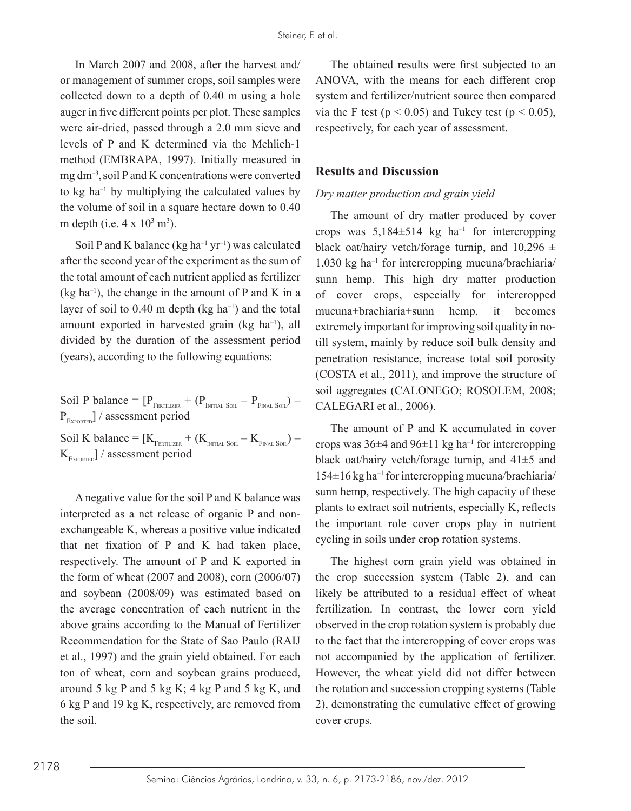In March 2007 and 2008, after the harvest and/ or management of summer crops, soil samples were collected down to a depth of 0.40 m using a hole auger in five different points per plot. These samples were air-dried, passed through a 2.0 mm sieve and levels of P and K determined via the Mehlich-1 method (EMBRAPA, 1997). Initially measured in mg dm<sup>-3</sup>, soil P and K concentrations were converted to kg  $ha^{-1}$  by multiplying the calculated values by the volume of soil in a square hectare down to 0.40 m depth (i.e.  $4 \times 10^3$  m<sup>3</sup>).

Soil P and K balance (kg ha<sup>-1</sup> yr<sup>-1</sup>) was calculated after the second year of the experiment as the sum of the total amount of each nutrient applied as fertilizer  $(kg ha^{-1})$ , the change in the amount of P and K in a layer of soil to  $0.40$  m depth (kg ha<sup>-1</sup>) and the total amount exported in harvested grain ( $kg \text{ ha}^{-1}$ ), all divided by the duration of the assessment period (years), according to the following equations:

Soil P balance =  $[P_{\tiny\textsc{Fermilzen}} + (P_{\tiny\textsc{Inital Son}} - P_{\tiny\textsc{Final Son}})$  – P<sub>EXPORTED</sub>] / assessment period Soil K balance =  $[K_{Fermizer} + (K_{mrtA L S_{OL}} - K_{F_{INA L} S_{OL}})$  – K<sub>Exporter</sub>] / assessment period

A negative value for the soil P and K balance was interpreted as a net release of organic P and nonexchangeable K, whereas a positive value indicated that net fixation of P and K had taken place, respectively. The amount of P and K exported in the form of wheat (2007 and 2008), corn (2006/07) and soybean (2008/09) was estimated based on the average concentration of each nutrient in the above grains according to the Manual of Fertilizer Recommendation for the State of Sao Paulo (RAIJ et al., 1997) and the grain yield obtained. For each ton of wheat, corn and soybean grains produced, around 5 kg P and 5 kg K; 4 kg P and 5 kg K, and 6 kg P and 19 kg K, respectively, are removed from the soil.

The obtained results were first subjected to an ANOVA, with the means for each different crop system and fertilizer/nutrient source then compared via the F test ( $p < 0.05$ ) and Tukey test ( $p < 0.05$ ), respectively, for each year of assessment.

### **Results and Discussion**

#### *Dry matter production and grain yield*

The amount of dry matter produced by cover crops was  $5.184 \pm 514$  kg ha<sup>-1</sup> for intercropping black oat/hairy vetch/forage turnip, and  $10,296 \pm$ 1,030 kg ha–1 for intercropping mucuna/brachiaria/ sunn hemp. This high dry matter production of cover crops, especially for intercropped mucuna+brachiaria+sunn hemp, it becomes extremely important for improving soil quality in notill system, mainly by reduce soil bulk density and penetration resistance, increase total soil porosity (COSTA et al., 2011), and improve the structure of soil aggregates (CALONEGO; ROSOLEM, 2008; CALEGARI et al., 2006).

The amount of P and K accumulated in cover crops was  $36\pm 4$  and  $96\pm 11$  kg ha<sup>-1</sup> for intercropping black oat/hairy vetch/forage turnip, and 41±5 and  $154\pm16$  kg ha<sup>-1</sup> for intercropping mucuna/brachiaria/ sunn hemp, respectively. The high capacity of these plants to extract soil nutrients, especially K, reflects the important role cover crops play in nutrient cycling in soils under crop rotation systems.

The highest corn grain yield was obtained in the crop succession system (Table 2), and can likely be attributed to a residual effect of wheat fertilization. In contrast, the lower corn yield observed in the crop rotation system is probably due to the fact that the intercropping of cover crops was not accompanied by the application of fertilizer. However, the wheat yield did not differ between the rotation and succession cropping systems (Table 2), demonstrating the cumulative effect of growing cover crops.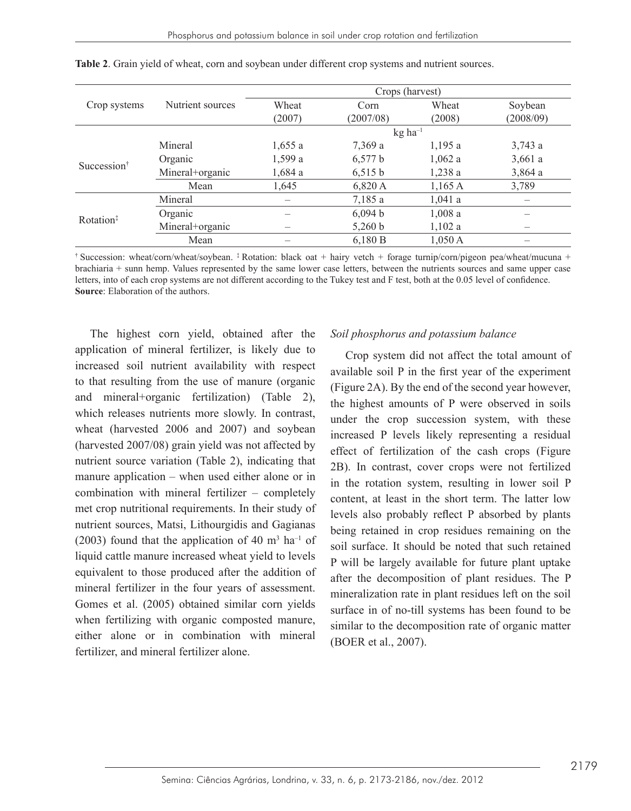|                         |                  | Crops (harvest)       |           |        |           |  |  |  |  |
|-------------------------|------------------|-----------------------|-----------|--------|-----------|--|--|--|--|
| Crop systems            | Nutrient sources | Wheat                 | Corn      | Wheat  | Soybean   |  |  |  |  |
|                         |                  | (2007)                | (2007/08) | (2008) | (2008/09) |  |  |  |  |
|                         |                  | $kg$ ha <sup>-1</sup> |           |        |           |  |  |  |  |
| Succession <sup>†</sup> | Mineral          | 1,655a                | 7,369 a   | 1,195a | 3,743a    |  |  |  |  |
|                         | Organic          | 1,599a                | 6,577 b   | 1,062a | 3,661a    |  |  |  |  |
|                         | Mineral+organic  | 1,684a                | 6,515 b   | 1,238a | 3,864a    |  |  |  |  |
|                         | Mean             | 1,645                 | 6,820 A   | 1,165A | 3,789     |  |  |  |  |
| Rotation <sup>‡</sup>   | Mineral          |                       | 7,185 a   | 1,041a |           |  |  |  |  |
|                         | Organic          |                       | 6,094 b   | 1,008a |           |  |  |  |  |
|                         | Mineral+organic  |                       | 5,260 b   | 1,102a |           |  |  |  |  |
|                         | Mean             |                       | 6,180B    | 1,050A |           |  |  |  |  |

**Table 2**. Grain yield of wheat, corn and soybean under different crop systems and nutrient sources.

† Succession: wheat/corn/wheat/soybean. ‡ Rotation: black oat + hairy vetch + forage turnip/corn/pigeon pea/wheat/mucuna + brachiaria + sunn hemp. Values represented by the same lower case letters, between the nutrients sources and same upper case letters, into of each crop systems are not different according to the Tukey test and F test, both at the 0.05 level of confidence. **Source**: Elaboration of the authors.

The highest corn yield, obtained after the application of mineral fertilizer, is likely due to increased soil nutrient availability with respect to that resulting from the use of manure (organic and mineral+organic fertilization) (Table 2), which releases nutrients more slowly. In contrast, wheat (harvested 2006 and 2007) and soybean (harvested 2007/08) grain yield was not affected by nutrient source variation (Table 2), indicating that manure application – when used either alone or in combination with mineral fertilizer – completely met crop nutritional requirements. In their study of nutrient sources, Matsi, Lithourgidis and Gagianas  $(2003)$  found that the application of 40 m<sup>3</sup> ha<sup>-1</sup> of liquid cattle manure increased wheat yield to levels equivalent to those produced after the addition of mineral fertilizer in the four years of assessment. Gomes et al. (2005) obtained similar corn yields when fertilizing with organic composted manure, either alone or in combination with mineral fertilizer, and mineral fertilizer alone.

#### *Soil phosphorus and potassium balance*

Crop system did not affect the total amount of available soil P in the first year of the experiment (Figure 2A). By the end of the second year however, the highest amounts of P were observed in soils under the crop succession system, with these increased P levels likely representing a residual effect of fertilization of the cash crops (Figure 2B). In contrast, cover crops were not fertilized in the rotation system, resulting in lower soil P content, at least in the short term. The latter low levels also probably reflect P absorbed by plants being retained in crop residues remaining on the soil surface. It should be noted that such retained P will be largely available for future plant uptake after the decomposition of plant residues. The P mineralization rate in plant residues left on the soil surface in of no-till systems has been found to be similar to the decomposition rate of organic matter (BOER et al., 2007).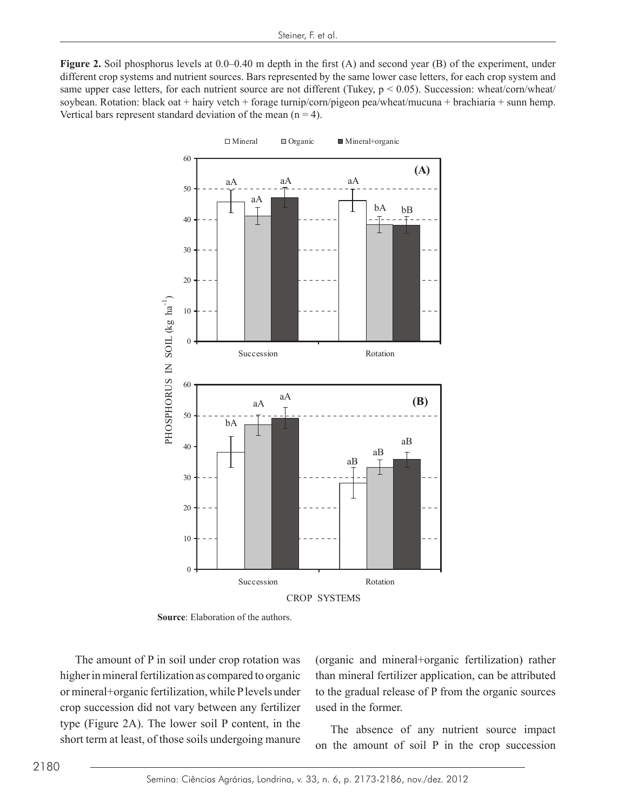**Figure 2.** Soil phosphorus levels at 0.0–0.40 m depth in the first (A) and second year (B) of the experiment, under different crop systems and nutrient sources. Bars represented by the same lower case letters, for each crop system and same upper case letters, for each nutrient source are not different (Tukey,  $p < 0.05$ ). Succession: wheat/corn/wheat/ soybean. Rotation: black oat + hairy vetch + forage turnip/corn/pigeon pea/wheat/mucuna + brachiaria + sunn hemp. Vertical bars represent standard deviation of the mean  $(n = 4)$ .



**Source**: Elaboration of the authors. **Source**: Elaboration of the authors.

crop succession did not vary between any fertilizer used in the former. type (Figure 2A). The lower soil P content, in the  $\Gamma$  The absence of The amount of P in soil under crop rotation was higher in mineral fertilization as compared to organic or mineral+organic fertilization, while P levels under short term at least, of those soils undergoing manure

The amount of P in soil under crop rotation was higher in mineral fertilization as compared to  $\overline{r}$  in mineral fertilization as compared to organic than mineral fertilizer application, can be attributed heral+organic fertilization, while P levels under to the gradual release of P from the organic sources (organic and mineral+organic fertilization) rather used in the former.

 $\alpha$ st, of those sons undergoing manufect on the amount of soil P in the crop succession The absence of any nutrient source impact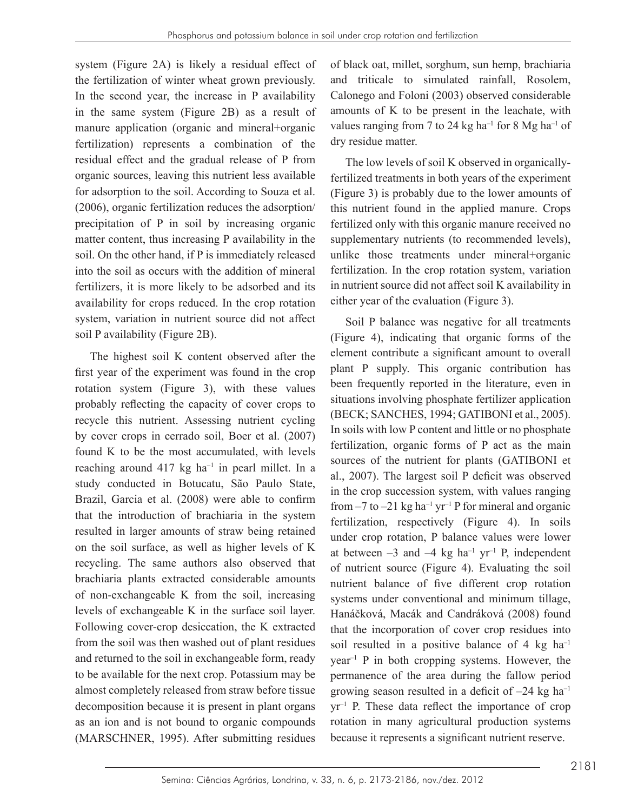system (Figure 2A) is likely a residual effect of the fertilization of winter wheat grown previously. In the second year, the increase in P availability in the same system (Figure 2B) as a result of manure application (organic and mineral+organic fertilization) represents a combination of the residual effect and the gradual release of P from organic sources, leaving this nutrient less available for adsorption to the soil. According to Souza et al. (2006), organic fertilization reduces the adsorption/ precipitation of P in soil by increasing organic matter content, thus increasing P availability in the soil. On the other hand, if P is immediately released into the soil as occurs with the addition of mineral fertilizers, it is more likely to be adsorbed and its availability for crops reduced. In the crop rotation system, variation in nutrient source did not affect soil P availability (Figure 2B).

The highest soil K content observed after the first year of the experiment was found in the crop rotation system (Figure 3), with these values probably reflecting the capacity of cover crops to recycle this nutrient. Assessing nutrient cycling by cover crops in cerrado soil, Boer et al. (2007) found K to be the most accumulated, with levels reaching around  $417 \text{ kg}$  ha<sup>-1</sup> in pearl millet. In a study conducted in Botucatu, São Paulo State, Brazil, Garcia et al. (2008) were able to confirm that the introduction of brachiaria in the system resulted in larger amounts of straw being retained on the soil surface, as well as higher levels of K recycling. The same authors also observed that brachiaria plants extracted considerable amounts of non-exchangeable K from the soil, increasing levels of exchangeable K in the surface soil layer. Following cover-crop desiccation, the K extracted from the soil was then washed out of plant residues and returned to the soil in exchangeable form, ready to be available for the next crop. Potassium may be almost completely released from straw before tissue decomposition because it is present in plant organs as an ion and is not bound to organic compounds (MARSCHNER, 1995). After submitting residues

of black oat, millet, sorghum, sun hemp, brachiaria and triticale to simulated rainfall, Rosolem, Calonego and Foloni (2003) observed considerable amounts of K to be present in the leachate, with values ranging from 7 to 24 kg ha<sup>-1</sup> for 8 Mg ha<sup>-1</sup> of dry residue matter.

The low levels of soil K observed in organicallyfertilized treatments in both years of the experiment (Figure 3) is probably due to the lower amounts of this nutrient found in the applied manure. Crops fertilized only with this organic manure received no supplementary nutrients (to recommended levels), unlike those treatments under mineral+organic fertilization. In the crop rotation system, variation in nutrient source did not affect soil K availability in either year of the evaluation (Figure 3).

Soil P balance was negative for all treatments (Figure 4), indicating that organic forms of the element contribute a significant amount to overall plant P supply. This organic contribution has been frequently reported in the literature, even in situations involving phosphate fertilizer application (BECK; SANCHES, 1994; GATIBONI et al., 2005). In soils with low P content and little or no phosphate fertilization, organic forms of P act as the main sources of the nutrient for plants (GATIBONI et al., 2007). The largest soil P deficit was observed in the crop succession system, with values ranging from  $-7$  to  $-21$  kg ha<sup>-1</sup> yr<sup>-1</sup> P for mineral and organic fertilization, respectively (Figure 4). In soils under crop rotation, P balance values were lower at between  $-3$  and  $-4$  kg ha<sup>-1</sup> yr<sup>-1</sup> P, independent of nutrient source (Figure 4). Evaluating the soil nutrient balance of five different crop rotation systems under conventional and minimum tillage, Hanáčková, Macák and Candráková (2008) found that the incorporation of cover crop residues into soil resulted in a positive balance of 4  $kg$  ha<sup>-1</sup> year–1 P in both cropping systems. However, the permanence of the area during the fallow period growing season resulted in a deficit of  $-24$  kg ha<sup>-1</sup> yr–1 P. These data reflect the importance of crop rotation in many agricultural production systems because it represents a significant nutrient reserve.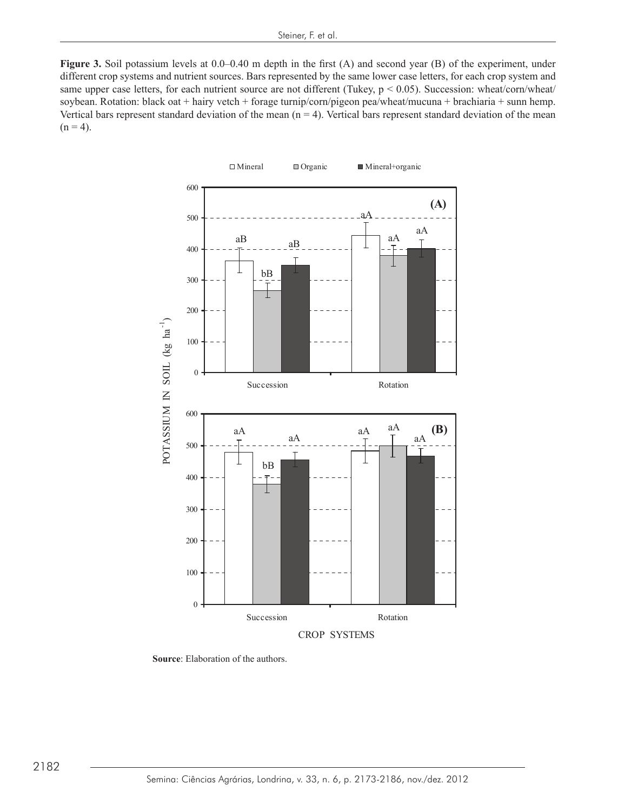**Figure 3.** Soil potassium levels at 0.0–0.40 m depth in the first (A) and second year (B) of the experiment, under different crop systems and nutrient sources. Bars represented by the same lower case letters, for each crop system and<br>second proposed by the contract in the same case and different (Tables at 6.0.05). Secondary related t same upper case letters, for each nutrient source are not different (Tukey,  $p < 0.05$ ). Succession: wheat/corn/wheat/ solute upper case retters, for each nutrient source are not unterent (Tukey,  $p > 0.03$ ). Succession: wheat/corn/wireat/sources. Boybean. Rotation: black oat + hairy vetch + forage turnip/corn/pigeon pea/wheat/mucuna + bra Vertical bars represent standard deviation of the mean  $(n = 4)$ . Vertical bars represent standard deviation of the mean  $(n = 4)$ .  $(n = 4)$ .  $\mathcal{S}$  successive successive turning of the mean  $\mathbf{a}$  +  $\mathbf{b}$ . Verteur oats represent successive terminon or the mean pea/wheat/mucuna + brachiaria + sunn hemp. Vertical bars represent standard deviation of the mean (n = 4).



**Source**: Elaboration of the authors. **Source**: Elaboration of the authors.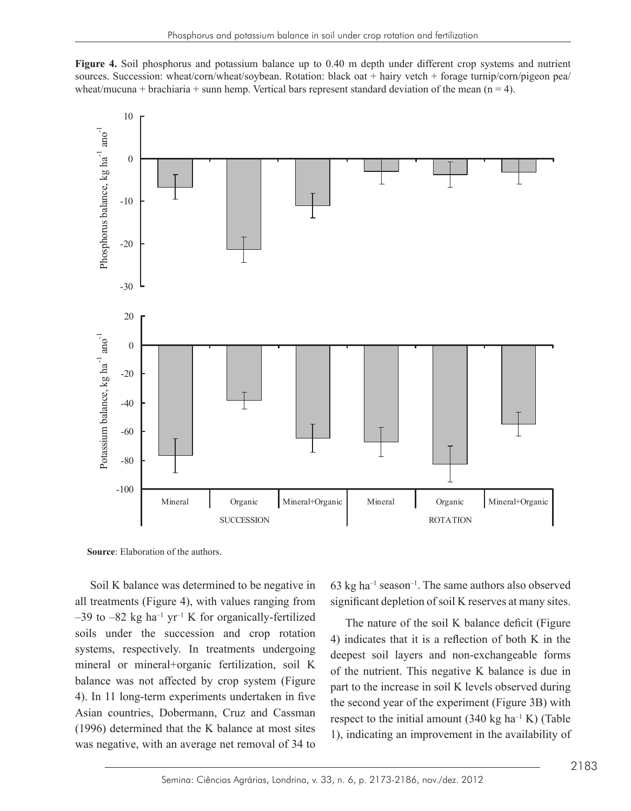Figure 4. Soil phosphorus and potassium balance up to 0.40 m depth under different crop systems and nutrient sources. Succession: wheat/corn/wheat/soybean. Rotation: black oat + hairy vetch + forage turnip/corn/pigeon pea/ wheat/mucuna + brachiaria + sunn hemp. Vertical bars represent standard deviation of the mean  $(n = 4)$ .



**Source**: Elaboration of the authors. **Source**: Elaboration of the authors.

all treatments (Figure 4), with values ranging from significant depletion of soil K reserves at many sites.  $\frac{1}{2}$   $\frac{1}{2}$  to  $\frac{1}{2}$  K is to organically-ordinized. The nature of the soil K balance deficit (Figure systems, respectively. In treatments undergoing  $\frac{4}{\sqrt{2}}$  denotes that it is a function of bountries in the mineral or mineral+organic fertilization, soil K of the nutrient This negative K balance is due in Soil K balance was determined to be negative in –39 to –82 kg ha<sup>-1</sup> yr<sup>-1</sup> K for organically-fertilized soils under the succession and crop rotation balance was not affected by crop system (Figure 4). In 11 long-term experiments undertaken in five Asian countries, Dobermann, Cruz and Cassman (1996) determined that the K balance at most sites was negative, with an average net removal of 34 to

K balance was determined to be negative in  $63 \text{ kg}$  ha<sup>-1</sup> season<sup>-1</sup>. The same authors also observed significant depletion of soil K reserves at many sites.

> 4) indicates that it is a reflection of both K in the deepest soil layers and non-exchangeable forms of the nutrient. This negative K balance is due in part to the increase in soil K levels observed during the second year of the experiment (Figure 3B) with respect to the initial amount  $(340 \text{ kg ha}^{-1} \text{ K})$  (Table 1), indicating an improvement in the availability of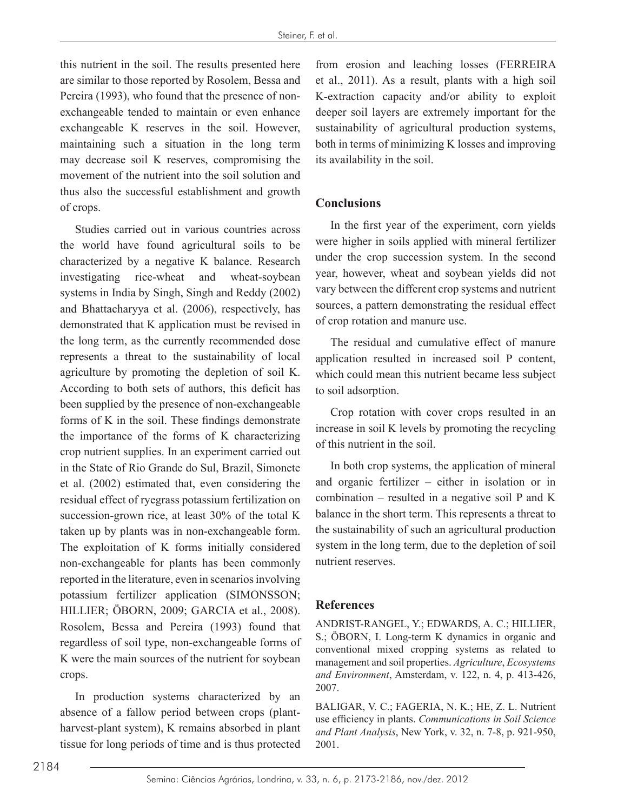this nutrient in the soil. The results presented here are similar to those reported by Rosolem, Bessa and Pereira (1993), who found that the presence of nonexchangeable tended to maintain or even enhance exchangeable K reserves in the soil. However, maintaining such a situation in the long term may decrease soil K reserves, compromising the movement of the nutrient into the soil solution and thus also the successful establishment and growth of crops.

Studies carried out in various countries across the world have found agricultural soils to be characterized by a negative K balance. Research investigating rice-wheat and wheat-soybean systems in India by Singh, Singh and Reddy (2002) and Bhattacharyya et al. (2006), respectively, has demonstrated that K application must be revised in the long term, as the currently recommended dose represents a threat to the sustainability of local agriculture by promoting the depletion of soil K. According to both sets of authors, this deficit has been supplied by the presence of non-exchangeable forms of K in the soil. These findings demonstrate the importance of the forms of K characterizing crop nutrient supplies. In an experiment carried out in the State of Rio Grande do Sul, Brazil, Simonete et al. (2002) estimated that, even considering the residual effect of ryegrass potassium fertilization on succession-grown rice, at least 30% of the total K taken up by plants was in non-exchangeable form. The exploitation of K forms initially considered non-exchangeable for plants has been commonly reported in the literature, even in scenarios involving potassium fertilizer application (SIMONSSON; HILLIER; ÖBORN, 2009; GARCIA et al., 2008). Rosolem, Bessa and Pereira (1993) found that regardless of soil type, non-exchangeable forms of K were the main sources of the nutrient for soybean crops.

In production systems characterized by an absence of a fallow period between crops (plantharvest-plant system), K remains absorbed in plant tissue for long periods of time and is thus protected

from erosion and leaching losses (FERREIRA et al., 2011). As a result, plants with a high soil K-extraction capacity and/or ability to exploit deeper soil layers are extremely important for the sustainability of agricultural production systems, both in terms of minimizing K losses and improving its availability in the soil.

### **Conclusions**

In the first year of the experiment, corn yields were higher in soils applied with mineral fertilizer under the crop succession system. In the second year, however, wheat and soybean yields did not vary between the different crop systems and nutrient sources, a pattern demonstrating the residual effect of crop rotation and manure use.

The residual and cumulative effect of manure application resulted in increased soil P content, which could mean this nutrient became less subject to soil adsorption.

Crop rotation with cover crops resulted in an increase in soil K levels by promoting the recycling of this nutrient in the soil.

In both crop systems, the application of mineral and organic fertilizer – either in isolation or in combination – resulted in a negative soil P and K balance in the short term. This represents a threat to the sustainability of such an agricultural production system in the long term, due to the depletion of soil nutrient reserves.

#### **References**

ANDRIST-RANGEL, Y.; EDWARDS, A. C.; HILLIER, S.; ÖBORN, I. Long-term K dynamics in organic and conventional mixed cropping systems as related to management and soil properties. *Agriculture*, *Ecosystems and Environment*, Amsterdam, v. 122, n. 4, p. 413-426, 2007.

BALIGAR, V. C.; FAGERIA, N. K.; HE, Z. L. Nutrient use efficiency in plants. *Communications in Soil Science and Plant Analysis*, New York, v. 32, n. 7-8, p. 921-950, 2001.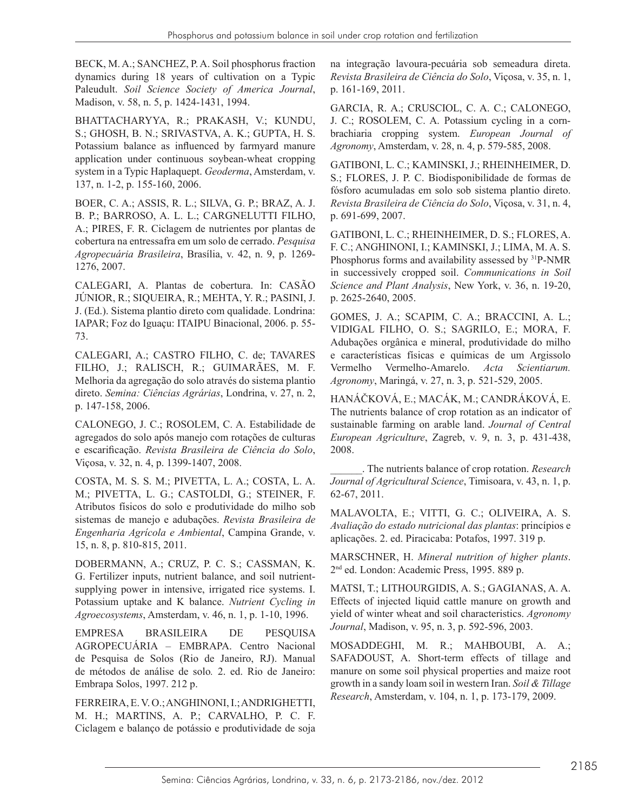BECK, M. A.; SANCHEZ, P. A. Soil phosphorus fraction dynamics during 18 years of cultivation on a Typic Paleudult. *Soil Science Society of America Journal*, Madison, v. 58, n. 5, p. 1424-1431, 1994.

BHATTACHARYYA, R.; PRAKASH, V.; KUNDU, S.; GHOSH, B. N.; SRIVASTVA, A. K.; GUPTA, H. S. Potassium balance as influenced by farmyard manure application under continuous soybean-wheat cropping system in a Typic Haplaquept. *Geoderma*, Amsterdam, v. 137, n. 1-2, p. 155-160, 2006.

BOER, C. A.; ASSIS, R. L.; SILVA, G. P.; BRAZ, A. J. B. P.; BARROSO, A. L. L.; CARGNELUTTI FILHO, A.; PIRES, F. R. Ciclagem de nutrientes por plantas de cobertura na entressafra em um solo de cerrado. *Pesquisa Agropecuária Brasileira*, Brasília, v. 42, n. 9, p. 1269- 1276, 2007.

CALEGARI, A. Plantas de cobertura. In: CASÃO JÚNIOR, R.; SIQUEIRA, R.; MEHTA, Y. R.; PASINI, J. J. (Ed.). Sistema plantio direto com qualidade. Londrina: IAPAR; Foz do Iguaçu: ITAIPU Binacional, 2006. p. 55- 73.

CALEGARI, A.; CASTRO FILHO, C. de; TAVARES FILHO, J.; RALISCH, R.; GUIMARÃES, M. F. Melhoria da agregação do solo através do sistema plantio direto. *Semina: Ciências Agrárias*, Londrina, v. 27, n. 2, p. 147-158, 2006.

CALONEGO, J. C.; ROSOLEM, C. A. Estabilidade de agregados do solo após manejo com rotações de culturas e escarificação. *Revista Brasileira de Ciência do Solo*, Viçosa, v. 32, n. 4, p. 1399-1407, 2008.

COSTA, M. S. S. M.; PIVETTA, L. A.; COSTA, L. A. M.; PIVETTA, L. G.; CASTOLDI, G.; STEINER, F. Atributos físicos do solo e produtividade do milho sob sistemas de manejo e adubações. *Revista Brasileira de Engenharia Agrícola e Ambiental*, Campina Grande, v. 15, n. 8, p. 810-815, 2011.

DOBERMANN, A.; CRUZ, P. C. S.; CASSMAN, K. G. Fertilizer inputs, nutrient balance, and soil nutrientsupplying power in intensive, irrigated rice systems. I. Potassium uptake and K balance. *Nutrient Cycling in Agroecosystems*, Amsterdam, v. 46, n. 1, p. 1-10, 1996.

EMPRESA BRASILEIRA DE PESQUISA AGROPECUÁRIA – EMBRAPA. Centro Nacional de Pesquisa de Solos (Rio de Janeiro, RJ). Manual de métodos de análise de solo*.* 2. ed. Rio de Janeiro: Embrapa Solos, 1997. 212 p.

FERREIRA, E. V. O.; ANGHINONI, I.; ANDRIGHETTI, M. H.; MARTINS, A. P.; CARVALHO, P. C. F. Ciclagem e balanço de potássio e produtividade de soja na integração lavoura-pecuária sob semeadura direta. *Revista Brasileira de Ciência do Solo*, Viçosa, v. 35, n. 1, p. 161-169, 2011.

GARCIA, R. A.; CRUSCIOL, C. A. C.; CALONEGO, J. C.; ROSOLEM, C. A. Potassium cycling in a cornbrachiaria cropping system. *European Journal of Agronomy*, Amsterdam, v. 28, n. 4, p. 579-585, 2008.

GATIBONI, L. C.; KAMINSKI, J.; RHEINHEIMER, D. S.; FLORES, J. P. C. Biodisponibilidade de formas de fósforo acumuladas em solo sob sistema plantio direto. *Revista Brasileira de Ciência do Solo*, Viçosa, v. 31, n. 4, p. 691-699, 2007.

GATIBONI, L. C.; RHEINHEIMER, D. S.; FLORES, A. F. C.; ANGHINONI, I.; KAMINSKI, J.; LIMA, M. A. S. Phosphorus forms and availability assessed by 31P-NMR in successively cropped soil. *Communications in Soil Science and Plant Analysis*, New York, v. 36, n. 19-20, p. 2625-2640, 2005.

GOMES, J. A.; SCAPIM, C. A.; BRACCINI, A. L.; VIDIGAL FILHO, O. S.; SAGRILO, E.; MORA, F. Adubações orgânica e mineral, produtividade do milho e características físicas e químicas de um Argissolo Vermelho Vermelho-Amarelo. *Acta Scientiarum. Agronomy*, Maringá, v. 27, n. 3, p. 521-529, 2005.

HANÁČKOVÁ, E.; MACÁK, M.; CANDRÁKOVÁ, E. The nutrients balance of crop rotation as an indicator of sustainable farming on arable land. *Journal of Central European Agriculture*, Zagreb, v. 9, n. 3, p. 431-438, 2008.

\_\_\_\_\_\_. The nutrients balance of crop rotation. *Research Journal of Agricultural Science*, Timisoara, v. 43, n. 1, p. 62-67, 2011.

MALAVOLTA, E.; VITTI, G. C.; OLIVEIRA, A. S. *Avaliação do estado nutricional das plantas*: princípios e aplicações. 2. ed. Piracicaba: Potafos, 1997. 319 p.

MARSCHNER, H. *Mineral nutrition of higher plants*. 2nd ed. London: Academic Press, 1995. 889 p.

MATSI, T.; LITHOURGIDIS, A. S.; GAGIANAS, A. A. Effects of injected liquid cattle manure on growth and yield of winter wheat and soil characteristics. *Agronomy Journal*, Madison, v. 95, n. 3, p. 592-596, 2003.

MOSADDEGHI, M. R.; MAHBOUBI, A. A.; SAFADOUST, A. Short-term effects of tillage and manure on some soil physical properties and maize root growth in a sandy loam soil in western Iran. *Soil & Tillage Research*, Amsterdam, v. 104, n. 1, p. 173-179, 2009.